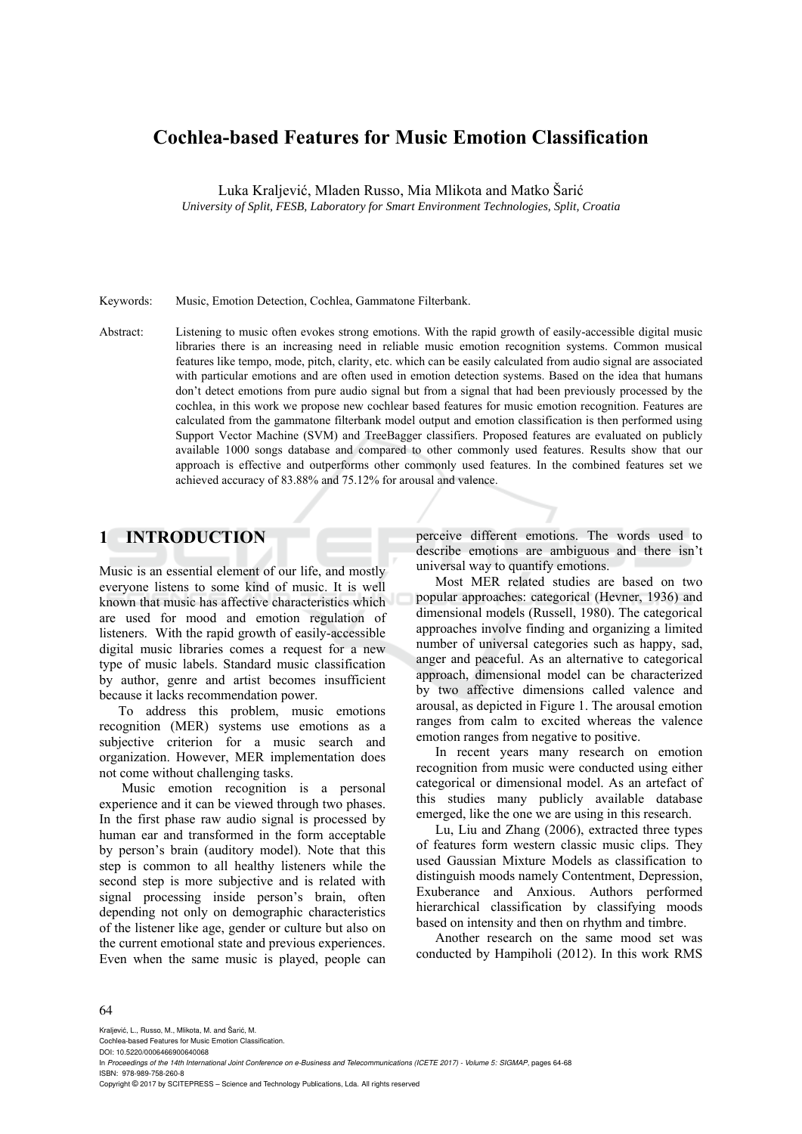# **Cochlea-based Features for Music Emotion Classification**

Luka Kraljević, Mladen Russo, Mia Mlikota and Matko Šarić

*University of Split, FESB, Laboratory for Smart Environment Technologies, Split, Croatia* 

Keywords: Music, Emotion Detection, Cochlea, Gammatone Filterbank.

Abstract: Listening to music often evokes strong emotions. With the rapid growth of easily-accessible digital music libraries there is an increasing need in reliable music emotion recognition systems. Common musical features like tempo, mode, pitch, clarity, etc. which can be easily calculated from audio signal are associated with particular emotions and are often used in emotion detection systems. Based on the idea that humans don't detect emotions from pure audio signal but from a signal that had been previously processed by the cochlea, in this work we propose new cochlear based features for music emotion recognition. Features are calculated from the gammatone filterbank model output and emotion classification is then performed using Support Vector Machine (SVM) and TreeBagger classifiers. Proposed features are evaluated on publicly available 1000 songs database and compared to other commonly used features. Results show that our approach is effective and outperforms other commonly used features. In the combined features set we achieved accuracy of 83.88% and 75.12% for arousal and valence.

# **1 INTRODUCTION**

Music is an essential element of our life, and mostly everyone listens to some kind of music. It is well known that music has affective characteristics which are used for mood and emotion regulation of listeners. With the rapid growth of easily-accessible digital music libraries comes a request for a new type of music labels. Standard music classification by author, genre and artist becomes insufficient because it lacks recommendation power.

To address this problem, music emotions recognition (MER) systems use emotions as a subjective criterion for a music search and organization. However, MER implementation does not come without challenging tasks.

 Music emotion recognition is a personal experience and it can be viewed through two phases. In the first phase raw audio signal is processed by human ear and transformed in the form acceptable by person's brain (auditory model). Note that this step is common to all healthy listeners while the second step is more subjective and is related with signal processing inside person's brain, often depending not only on demographic characteristics of the listener like age, gender or culture but also on the current emotional state and previous experiences. Even when the same music is played, people can

perceive different emotions. The words used to describe emotions are ambiguous and there isn't universal way to quantify emotions.

Most MER related studies are based on two popular approaches: categorical (Hevner, 1936) and dimensional models (Russell, 1980). The categorical approaches involve finding and organizing a limited number of universal categories such as happy, sad, anger and peaceful. As an alternative to categorical approach, dimensional model can be characterized by two affective dimensions called valence and arousal, as depicted in Figure 1. The arousal emotion ranges from calm to excited whereas the valence emotion ranges from negative to positive.

In recent years many research on emotion recognition from music were conducted using either categorical or dimensional model. As an artefact of this studies many publicly available database emerged, like the one we are using in this research.

Lu, Liu and Zhang (2006), extracted three types of features form western classic music clips. They used Gaussian Mixture Models as classification to distinguish moods namely Contentment, Depression, Exuberance and Anxious. Authors performed hierarchical classification by classifying moods based on intensity and then on rhythm and timbre.

Another research on the same mood set was conducted by Hampiholi (2012). In this work RMS

#### 64

Kraljević, L., Russo, M., Mlikota, M., and Šarić, M.

Cochlea-based Features for Music Emotion Classification. DOI: 10.5220/0006466900640068

In *Proceedings of the 14th International Joint Conference on e-Business and Telecommunications (ICETE 2017) - Volume 5: SIGMAP*, pages 64-68 ISBN: 978-989-758-260-8

Copyright © 2017 by SCITEPRESS – Science and Technology Publications, Lda. All rights reserved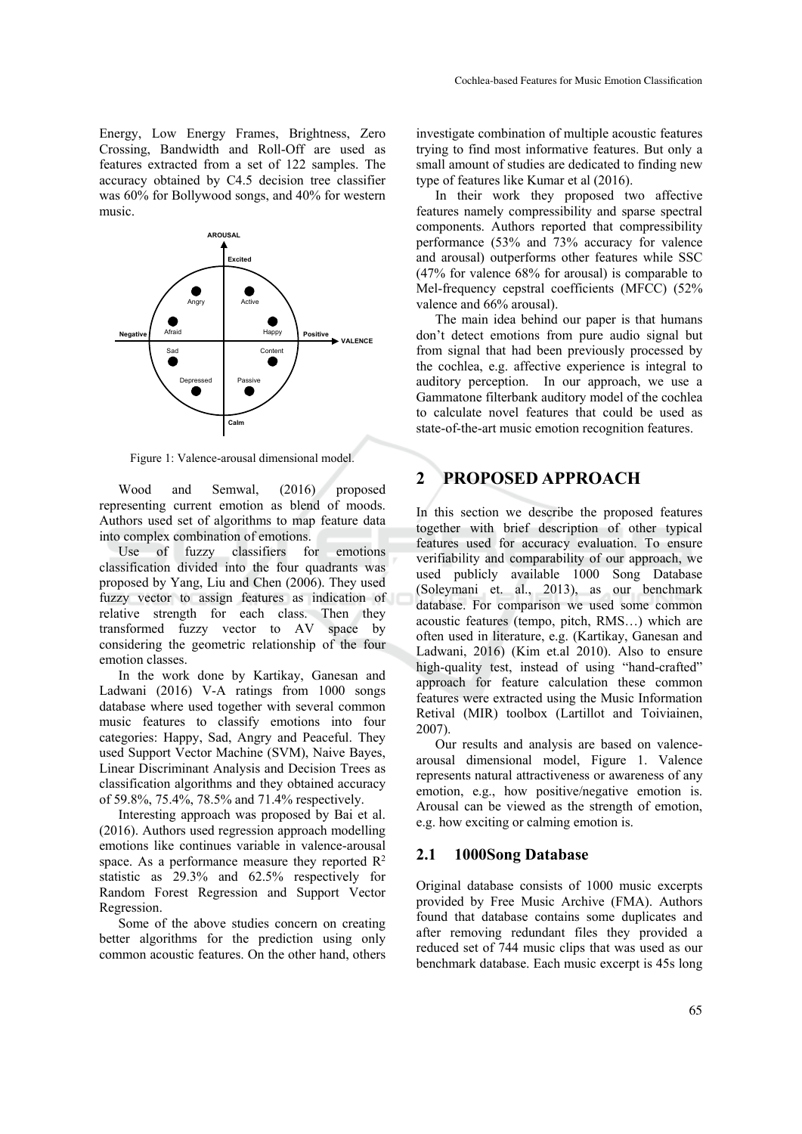Energy, Low Energy Frames, Brightness, Zero Crossing, Bandwidth and Roll-Off are used as features extracted from a set of 122 samples. The accuracy obtained by C4.5 decision tree classifier was 60% for Bollywood songs, and 40% for western music.



Figure 1: Valence-arousal dimensional model.

Wood and Semwal, (2016) proposed representing current emotion as blend of moods. Authors used set of algorithms to map feature data into complex combination of emotions.

Use of fuzzy classifiers for emotions classification divided into the four quadrants was proposed by Yang, Liu and Chen (2006). They used fuzzy vector to assign features as indication of relative strength for each class. Then they transformed fuzzy vector to AV space by considering the geometric relationship of the four emotion classes.

In the work done by Kartikay, Ganesan and Ladwani (2016) V-A ratings from 1000 songs database where used together with several common music features to classify emotions into four categories: Happy, Sad, Angry and Peaceful. They used Support Vector Machine (SVM), Naive Bayes, Linear Discriminant Analysis and Decision Trees as classification algorithms and they obtained accuracy of 59.8%, 75.4%, 78.5% and 71.4% respectively.

Interesting approach was proposed by Bai et al. (2016). Authors used regression approach modelling emotions like continues variable in valence-arousal space. As a performance measure they reported  $\mathbb{R}^2$ statistic as 29.3% and 62.5% respectively for Random Forest Regression and Support Vector Regression.

Some of the above studies concern on creating better algorithms for the prediction using only common acoustic features. On the other hand, others

investigate combination of multiple acoustic features trying to find most informative features. But only a small amount of studies are dedicated to finding new type of features like Kumar et al (2016).

In their work they proposed two affective features namely compressibility and sparse spectral components. Authors reported that compressibility performance (53% and 73% accuracy for valence and arousal) outperforms other features while SSC (47% for valence 68% for arousal) is comparable to Mel-frequency cepstral coefficients (MFCC) (52% valence and 66% arousal).

The main idea behind our paper is that humans don't detect emotions from pure audio signal but from signal that had been previously processed by the cochlea, e.g. affective experience is integral to auditory perception. In our approach, we use a Gammatone filterbank auditory model of the cochlea to calculate novel features that could be used as state-of-the-art music emotion recognition features.

# **2 PROPOSED APPROACH**

In this section we describe the proposed features together with brief description of other typical features used for accuracy evaluation. To ensure verifiability and comparability of our approach, we used publicly available 1000 Song Database (Soleymani et. al., 2013), as our benchmark database. For comparison we used some common acoustic features (tempo, pitch, RMS…) which are often used in literature, e.g. (Kartikay, Ganesan and Ladwani, 2016) (Kim et.al 2010). Also to ensure high-quality test, instead of using "hand-crafted" approach for feature calculation these common features were extracted using the Music Information Retival (MIR) toolbox (Lartillot and Toiviainen, 2007).

Our results and analysis are based on valencearousal dimensional model, Figure 1. Valence represents natural attractiveness or awareness of any emotion, e.g., how positive/negative emotion is. Arousal can be viewed as the strength of emotion, e.g. how exciting or calming emotion is.

#### **2.1 1000Song Database**

Original database consists of 1000 music excerpts provided by Free Music Archive (FMA). Authors found that database contains some duplicates and after removing redundant files they provided a reduced set of 744 music clips that was used as our benchmark database. Each music excerpt is 45s long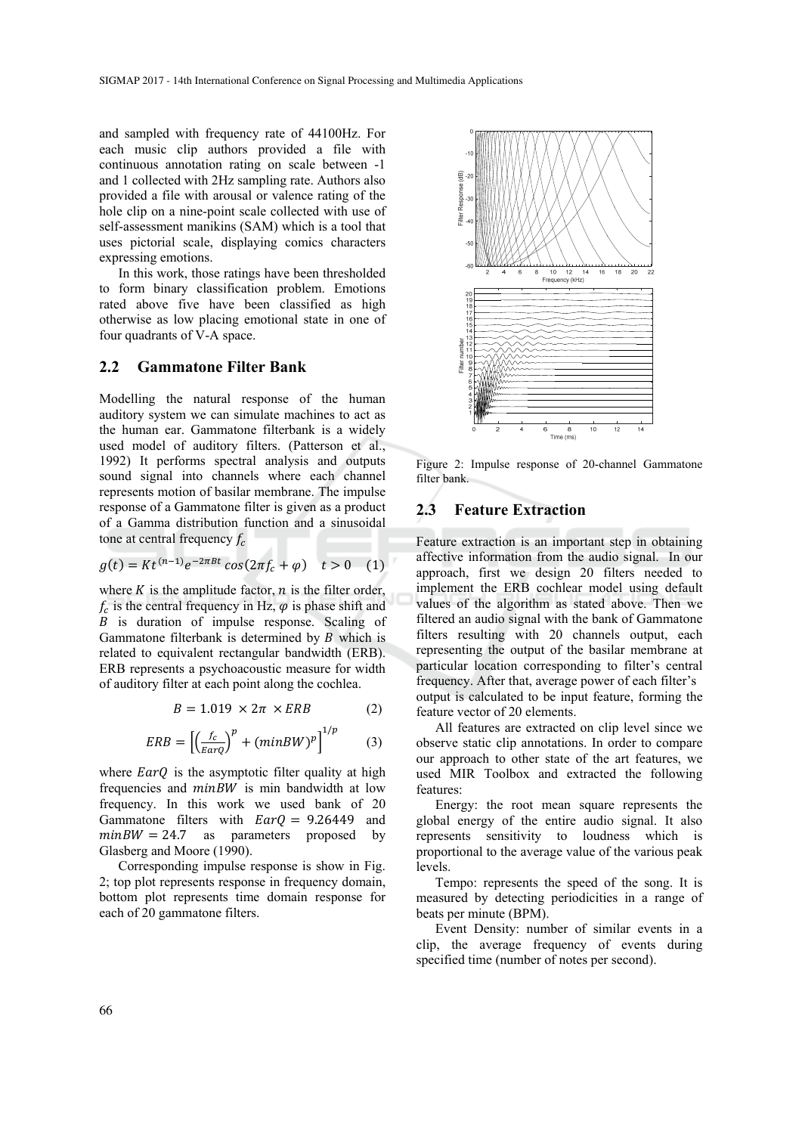and sampled with frequency rate of 44100Hz. For each music clip authors provided a file with continuous annotation rating on scale between -1 and 1 collected with 2Hz sampling rate. Authors also provided a file with arousal or valence rating of the hole clip on a nine-point scale collected with use of self-assessment manikins (SAM) which is a tool that uses pictorial scale, displaying comics characters expressing emotions.

In this work, those ratings have been thresholded to form binary classification problem. Emotions rated above five have been classified as high otherwise as low placing emotional state in one of four quadrants of V-A space.

### **2.2 Gammatone Filter Bank**

Modelling the natural response of the human auditory system we can simulate machines to act as the human ear. Gammatone filterbank is a widely used model of auditory filters. (Patterson et al., 1992) It performs spectral analysis and outputs sound signal into channels where each channel represents motion of basilar membrane. The impulse response of a Gammatone filter is given as a product of a Gamma distribution function and a sinusoidal tone at central frequency  $f_c$ 

$$
g(t) = Kt^{(n-1)}e^{-2\pi B t} \cos(2\pi f_c + \varphi) \quad t > 0 \quad (1)
$$

where  $K$  is the amplitude factor,  $n$  is the filter order,  $f_c$  is the central frequency in Hz,  $\varphi$  is phase shift and ܤ is duration of impulse response. Scaling of Gammatone filterbank is determined by  $B$  which is related to equivalent rectangular bandwidth (ERB). ERB represents a psychoacoustic measure for width of auditory filter at each point along the cochlea.

$$
B = 1.019 \times 2\pi \times ERB \tag{2}
$$

$$
ERB = \left[ \left( \frac{f_c}{EarQ} \right)^p + (minBW)^p \right]^{1/p} \tag{3}
$$

where  $EarQ$  is the asymptotic filter quality at high frequencies and  $minBW$  is min bandwidth at low frequency. In this work we used bank of 20 Gammatone filters with  $Ear0 = 9.26449$  and  $minBW = 24.7$  as parameters proposed by Glasberg and Moore (1990).

Corresponding impulse response is show in Fig. 2; top plot represents response in frequency domain, bottom plot represents time domain response for each of 20 gammatone filters.



Figure 2: Impulse response of 20-channel Gammatone filter bank.

### **2.3 Feature Extraction**

Feature extraction is an important step in obtaining affective information from the audio signal. In our approach, first we design 20 filters needed to implement the ERB cochlear model using default values of the algorithm as stated above. Then we filtered an audio signal with the bank of Gammatone filters resulting with 20 channels output, each representing the output of the basilar membrane at particular location corresponding to filter's central frequency. After that, average power of each filter's output is calculated to be input feature, forming the feature vector of 20 elements.

All features are extracted on clip level since we observe static clip annotations. In order to compare our approach to other state of the art features, we used MIR Toolbox and extracted the following features:

Energy: the root mean square represents the global energy of the entire audio signal. It also represents sensitivity to loudness which is proportional to the average value of the various peak levels.

Tempo: represents the speed of the song. It is measured by detecting periodicities in a range of beats per minute (BPM).

Event Density: number of similar events in a clip, the average frequency of events during specified time (number of notes per second).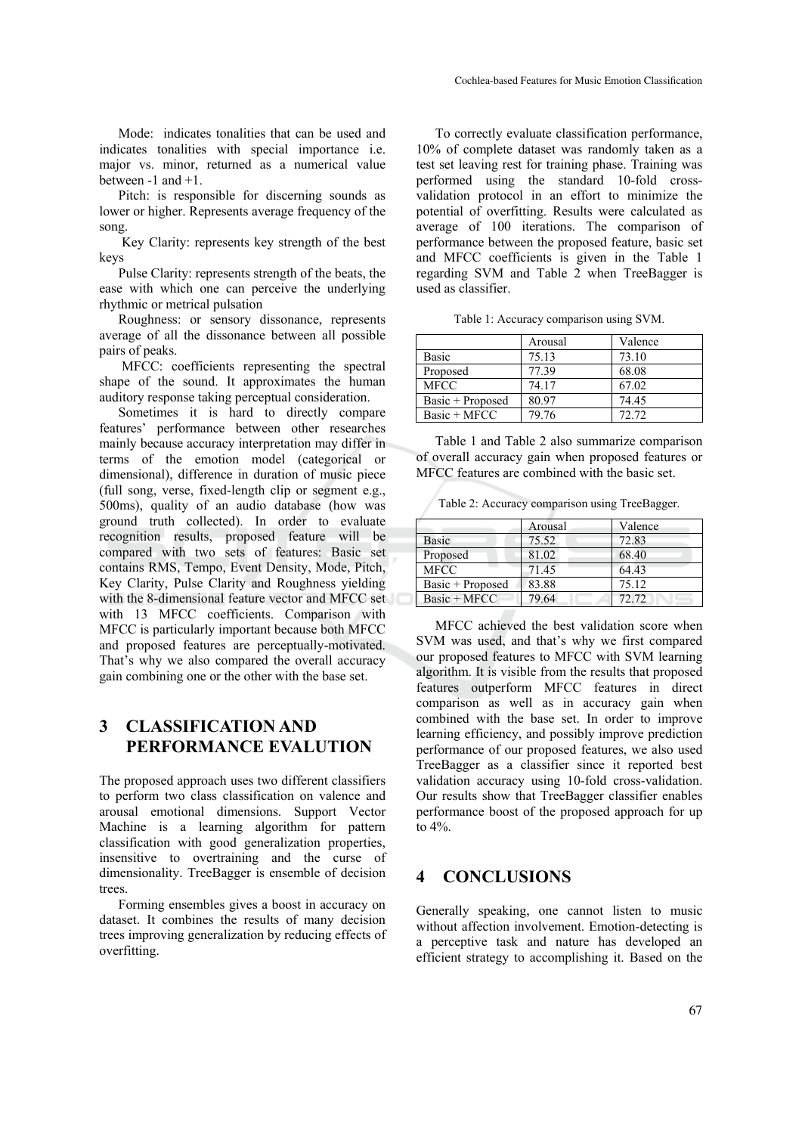Mode: indicates tonalities that can be used and indicates tonalities with special importance i.e. major vs. minor, returned as a numerical value between  $-1$  and  $+1$ .

Pitch: is responsible for discerning sounds as lower or higher. Represents average frequency of the song.

 Key Clarity: represents key strength of the best keys

Pulse Clarity: represents strength of the beats, the ease with which one can perceive the underlying rhythmic or metrical pulsation

Roughness: or sensory dissonance, represents average of all the dissonance between all possible pairs of peaks.

 MFCC: coefficients representing the spectral shape of the sound. It approximates the human auditory response taking perceptual consideration.

Sometimes it is hard to directly compare features' performance between other researches mainly because accuracy interpretation may differ in terms of the emotion model (categorical or dimensional), difference in duration of music piece (full song, verse, fixed-length clip or segment e.g., 500ms), quality of an audio database (how was ground truth collected). In order to evaluate recognition results, proposed feature will be compared with two sets of features: Basic set contains RMS, Tempo, Event Density, Mode, Pitch, Key Clarity, Pulse Clarity and Roughness yielding with the 8-dimensional feature vector and MFCC set with 13 MFCC coefficients. Comparison with MFCC is particularly important because both MFCC and proposed features are perceptually-motivated. That's why we also compared the overall accuracy gain combining one or the other with the base set.

# **3 CLASSIFICATION AND PERFORMANCE EVALUTION**

The proposed approach uses two different classifiers to perform two class classification on valence and arousal emotional dimensions. Support Vector Machine is a learning algorithm for pattern classification with good generalization properties, insensitive to overtraining and the curse of dimensionality. TreeBagger is ensemble of decision trees.

Forming ensembles gives a boost in accuracy on dataset. It combines the results of many decision trees improving generalization by reducing effects of overfitting.

To correctly evaluate classification performance, 10% of complete dataset was randomly taken as a test set leaving rest for training phase. Training was performed using the standard 10-fold crossvalidation protocol in an effort to minimize the potential of overfitting. Results were calculated as average of 100 iterations. The comparison of performance between the proposed feature, basic set and MFCC coefficients is given in the Table 1 regarding SVM and Table 2 when TreeBagger is used as classifier.

|  | Table 1: Accuracy comparison using SVM. |  |
|--|-----------------------------------------|--|
|  |                                         |  |

|                  | Arousal | Valence |
|------------------|---------|---------|
| <b>Basic</b>     | 75.13   | 73.10   |
| Proposed         | 77.39   | 68.08   |
| <b>MFCC</b>      | 74.17   | 67.02   |
| Basic + Proposed | 80.97   | 74.45   |
| Basic + MFCC     | 79.76   | 72.72   |

Table 1 and Table 2 also summarize comparison of overall accuracy gain when proposed features or MFCC features are combined with the basic set.

Table 2: Accuracy comparison using TreeBagger.

|                  | Arousal | Valence |
|------------------|---------|---------|
| Basic            | 75.52   | 72.83   |
| Proposed         | 81.02   | 68.40   |
| <b>MFCC</b>      | 71.45   | 64.43   |
| Basic + Proposed | 83.88   | 75.12   |
| Basic + MFCC     | 79.64   | 72.72   |

MFCC achieved the best validation score when SVM was used, and that's why we first compared our proposed features to MFCC with SVM learning algorithm. It is visible from the results that proposed features outperform MFCC features in direct comparison as well as in accuracy gain when combined with the base set. In order to improve learning efficiency, and possibly improve prediction performance of our proposed features, we also used TreeBagger as a classifier since it reported best validation accuracy using 10-fold cross-validation. Our results show that TreeBagger classifier enables performance boost of the proposed approach for up to 4%.

## **4 CONCLUSIONS**

Generally speaking, one cannot listen to music without affection involvement. Emotion-detecting is a perceptive task and nature has developed an efficient strategy to accomplishing it. Based on the